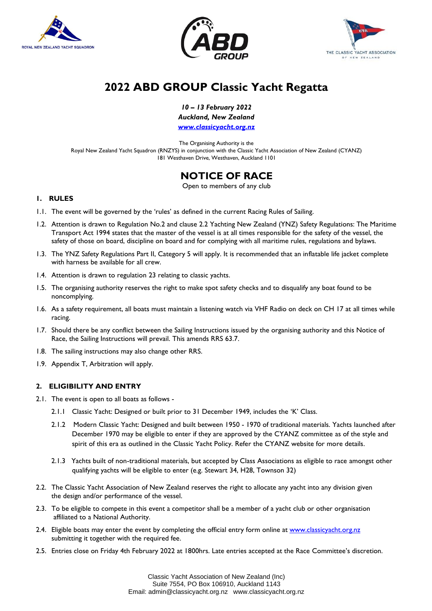





# **2022 ABD GROUP Classic Yacht Regatta**

*10 – 13 February 2022*

*Auckland, New Zealand*

*www.classicyacht.org.nz*

The Organising Authority is the Royal New Zealand Yacht Squadron (RNZYS) in conjunction with the Classic Yacht Association of New Zealand (CYANZ) 181 Westhaven Drive, Westhaven, Auckland 1101

## **NOTICE OF RACE**

Open to members of any club

## **1. RULES**

- 1.1. The event will be governed by the 'rules' as defined in the current Racing Rules of Sailing.
- 1.2. Attention is drawn to Regulation No.2 and clause 2.2 Yachting New Zealand (YNZ) Safety Regulations: The Maritime Transport Act 1994 states that the master of the vessel is at all times responsible for the safety of the vessel, the safety of those on board, discipline on board and for complying with all maritime rules, regulations and bylaws.
- 1.3. The YNZ Safety Regulations Part II, Category 5 will apply. It is recommended that an inflatable life jacket complete with harness be available for all crew.
- 1.4. Attention is drawn to regulation 23 relating to classic yachts.
- 1.5. The organising authority reserves the right to make spot safety checks and to disqualify any boat found to be noncomplying.
- 1.6. As a safety requirement, all boats must maintain a listening watch via VHF Radio on deck on CH 17 at all times while racing.
- 1.7. Should there be any conflict between the Sailing Instructions issued by the organising authority and this Notice of Race, the Sailing Instructions will prevail. This amends RRS 63.7.
- 1.8. The sailing instructions may also change other RRS.
- 1.9. Appendix T, Arbitration will apply.

## **2. ELIGIBILITY AND ENTRY**

- 2.1. The event is open to all boats as follows
	- 2.1.1 Classic Yacht: Designed or built prior to 31 December 1949, includes the 'K' Class.
	- 2.1.2 Modern Classic Yacht: Designed and built between 1950 1970 of traditional materials. Yachts launched after December 1970 may be eligible to enter if they are approved by the CYANZ committee as of the style and spirit of this era as outlined in the Classic Yacht Policy. Refer the CYANZ website for more details.
	- 2.1.3 Yachts built of non-traditional materials, but accepted by Class Associations as eligible to race amongst other qualifying yachts will be eligible to enter (e.g. Stewart 34, H28, Townson 32)
- 2.2. The Classic Yacht Association of New Zealand reserves the right to allocate any yacht into any division given the design and/or performance of the vessel.
- 2.3. To be eligible to compete in this event a competitor shall be a member of a yacht club or other organisation affiliated to a National Authority.
- 2.4. Eligible boats may enter the event by completing the official entry form online at [www.classicyacht.org.nz](http://www.classicyacht.org.nz/) submitting it together with the required fee.
- 2.5. Entries close on Friday 4th February 2022 at 1800hrs. Late entries accepted at the Race Committee's discretion.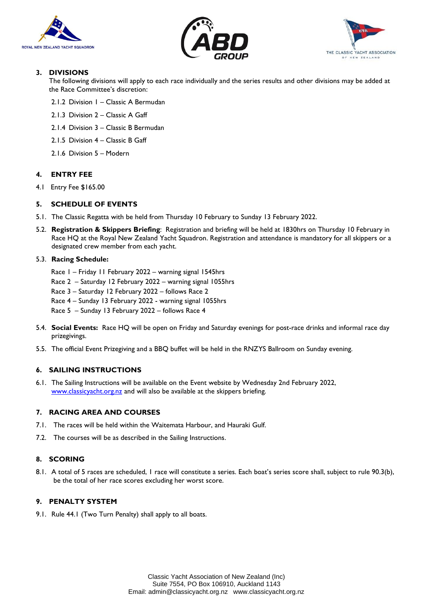





## **3. DIVISIONS**

The following divisions will apply to each race individually and the series results and other divisions may be added at the Race Committee's discretion:

- 2.1.2 Division 1 Classic A Bermudan
- 2.1.3 Division 2 Classic A Gaff
- 2.1.4 Division 3 Classic B Bermudan
- 2.1.5 Division 4 Classic B Gaff
- 2.1.6 Division 5 Modern

#### **4. ENTRY FEE**

4.1 Entry Fee \$165.00

## **5. SCHEDULE OF EVENTS**

- 5.1. The Classic Regatta with be held from Thursday 10 February to Sunday 13 February 2022.
- 5.2. **Registration & Skippers Briefing**: Registration and briefing will be held at 1830hrs on Thursday 10 February in Race HQ at the Royal New Zealand Yacht Squadron. Registration and attendance is mandatory for all skippers or a designated crew member from each yacht.

#### 5.3. **Racing Schedule:**

- Race 1 Friday 11 February 2022 warning signal 1545hrs
- Race 2 Saturday 12 February 2022 warning signal 1055hrs
- Race 3 Saturday 12 February 2022 follows Race 2
- Race 4 Sunday 13 February 2022 warning signal 1055hrs
- Race 5 Sunday 13 February 2022 follows Race 4
- 5.4. **Social Events:** Race HQ will be open on Friday and Saturday evenings for post-race drinks and informal race day prizegivings.
- 5.5. The official Event Prizegiving and a BBQ buffet will be held in the RNZYS Ballroom on Sunday evening.

## **6. SAILING INSTRUCTIONS**

6.1. The Sailing Instructions will be available on the Event website by Wednesday 2nd February 2022, [www.classicyacht.org.nz](http://www.classicyacht.org.nz/) and will also be available at the skippers briefing.

#### **7. RACING AREA AND COURSES**

- 7.1. The races will be held within the Waitemata Harbour, and Hauraki Gulf.
- 7.2. The courses will be as described in the Sailing Instructions.

## **8. SCORING**

8.1. A total of 5 races are scheduled, 1 race will constitute a series. Each boat's series score shall, subject to rule 90.3(b), be the total of her race scores excluding her worst score.

#### **9. PENALTY SYSTEM**

9.1. Rule 44.1 (Two Turn Penalty) shall apply to all boats.